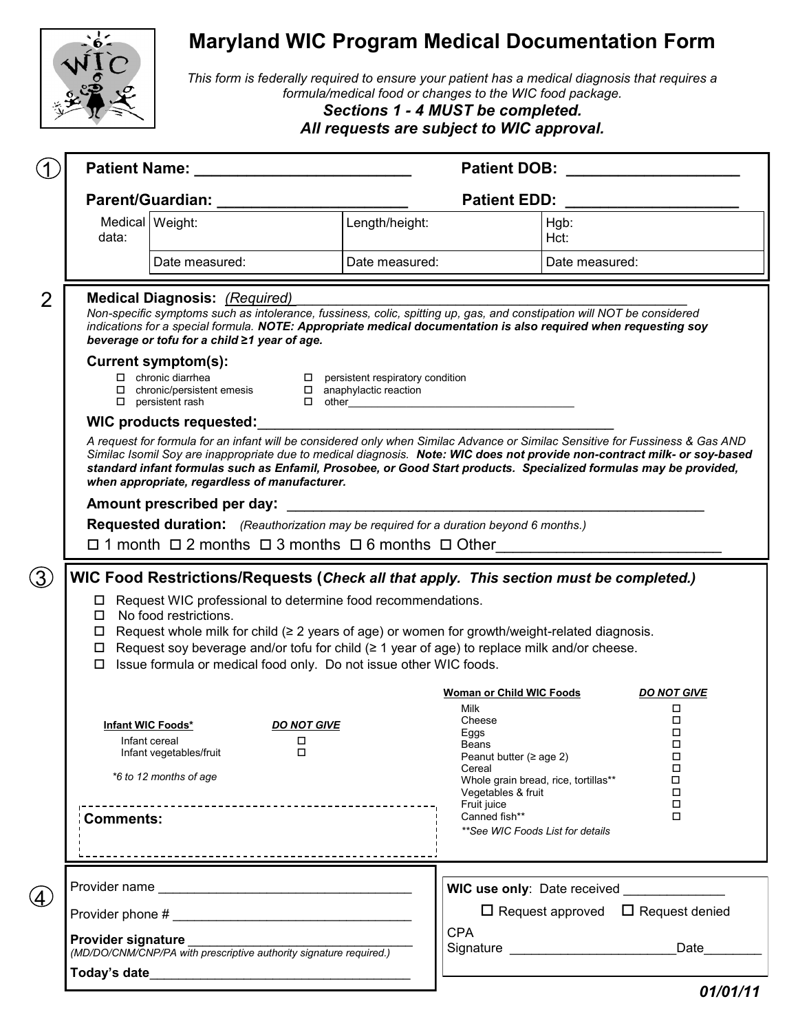

## **Maryland WIC Program Medical Documentation Form**

*This form is federally required to ensure your patient has a medical diagnosis that requires a formula/medical food or changes to the WIC food package.* 

*All requests are subject to WIC approval.*

|                   |                                                                                                                                                                                                                                                                                           | <b>Patient Name: Example 2018</b>                                                                                                                                                                                                                                                                                                                                                                                                |                                                                     | <b>Patient DOB:</b>                                                                        |                |            |  |  |  |  |  |  |  |
|-------------------|-------------------------------------------------------------------------------------------------------------------------------------------------------------------------------------------------------------------------------------------------------------------------------------------|----------------------------------------------------------------------------------------------------------------------------------------------------------------------------------------------------------------------------------------------------------------------------------------------------------------------------------------------------------------------------------------------------------------------------------|---------------------------------------------------------------------|--------------------------------------------------------------------------------------------|----------------|------------|--|--|--|--|--|--|--|
|                   |                                                                                                                                                                                                                                                                                           |                                                                                                                                                                                                                                                                                                                                                                                                                                  |                                                                     | <b>Patient EDD:</b>                                                                        |                |            |  |  |  |  |  |  |  |
|                   | Medical Weight:<br>data:                                                                                                                                                                                                                                                                  |                                                                                                                                                                                                                                                                                                                                                                                                                                  | Length/height:                                                      |                                                                                            | Hgb:<br>Hct:   |            |  |  |  |  |  |  |  |
|                   |                                                                                                                                                                                                                                                                                           | Date measured:                                                                                                                                                                                                                                                                                                                                                                                                                   | Date measured:                                                      |                                                                                            | Date measured: |            |  |  |  |  |  |  |  |
| $\overline{2}$    |                                                                                                                                                                                                                                                                                           | <b>Medical Diagnosis: (Required)</b><br>Non-specific symptoms such as intolerance, fussiness, colic, spitting up, gas, and constipation will NOT be considered<br>indications for a special formula. NOTE: Appropriate medical documentation is also required when requesting soy<br>beverage or tofu for a child ≥1 year of age.                                                                                                |                                                                     |                                                                                            |                |            |  |  |  |  |  |  |  |
|                   |                                                                                                                                                                                                                                                                                           | Current symptom(s):<br>$\begin{tabular}{ll} $\hspace{0.15cm}$ \Box & chronic diarrhea\\ $\hspace{0.15cm}$ \Box & chronic/persistent emesis\\ \end{tabular}$<br>$\Box$ persistent rash                                                                                                                                                                                                                                            | $\square$ persistent respiratory condition<br>anaphylactic reaction |                                                                                            |                |            |  |  |  |  |  |  |  |
|                   |                                                                                                                                                                                                                                                                                           | WIC products requested:                                                                                                                                                                                                                                                                                                                                                                                                          |                                                                     |                                                                                            |                |            |  |  |  |  |  |  |  |
|                   |                                                                                                                                                                                                                                                                                           | A request for formula for an infant will be considered only when Similac Advance or Similac Sensitive for Fussiness & Gas AND<br>Similac Isomil Soy are inappropriate due to medical diagnosis. Note: WIC does not provide non-contract milk- or soy-based<br>standard infant formulas such as Enfamil, Prosobee, or Good Start products. Specialized formulas may be provided,<br>when appropriate, regardless of manufacturer. |                                                                     |                                                                                            |                |            |  |  |  |  |  |  |  |
|                   | Amount prescribed per day: Amount prescribed per day:                                                                                                                                                                                                                                     |                                                                                                                                                                                                                                                                                                                                                                                                                                  |                                                                     |                                                                                            |                |            |  |  |  |  |  |  |  |
|                   | Requested duration: (Reauthorization may be required for a duration beyond 6 months.)<br>$\Box$ 1 month $\Box$ 2 months $\Box$ 3 months $\Box$ 6 months $\Box$ Other                                                                                                                      |                                                                                                                                                                                                                                                                                                                                                                                                                                  |                                                                     |                                                                                            |                |            |  |  |  |  |  |  |  |
| (3)               |                                                                                                                                                                                                                                                                                           | WIC Food Restrictions/Requests (Check all that apply. This section must be completed.)                                                                                                                                                                                                                                                                                                                                           |                                                                     |                                                                                            |                |            |  |  |  |  |  |  |  |
|                   |                                                                                                                                                                                                                                                                                           | □ Request WIC professional to determine food recommendations.<br>$\Box$ No food restrictions.<br>$\Box$ Request whole milk for child ( $\geq 2$ years of age) or women for growth/weight-related diagnosis.<br>$\Box$ Request soy beverage and/or tofu for child ( $\geq$ 1 year of age) to replace milk and/or cheese.<br>$\Box$ Issue formula or medical food only. Do not issue other WIC foods.                              |                                                                     |                                                                                            |                |            |  |  |  |  |  |  |  |
|                   | <b>Woman or Child WIC Foods</b><br><b>DO NOT GIVE</b>                                                                                                                                                                                                                                     |                                                                                                                                                                                                                                                                                                                                                                                                                                  |                                                                     |                                                                                            |                |            |  |  |  |  |  |  |  |
|                   | <b>Milk</b><br>Cheese<br>Infant WIC Foods*<br><b>DO NOT GIVE</b><br>Eggs<br>Infant cereal<br>□<br>Beans<br>□<br>Infant vegetables/fruit<br>Peanut butter ( $\geq$ age 2)<br>Cereal<br>*6 to 12 months of age<br>Whole grain bread, rice, tortillas**<br>Vegetables & fruit<br>Fruit juice |                                                                                                                                                                                                                                                                                                                                                                                                                                  |                                                                     |                                                                                            |                |            |  |  |  |  |  |  |  |
|                   | Comments:                                                                                                                                                                                                                                                                                 |                                                                                                                                                                                                                                                                                                                                                                                                                                  |                                                                     | Canned fish**<br>**See WIC Foods List for details                                          |                | □<br>□     |  |  |  |  |  |  |  |
|                   |                                                                                                                                                                                                                                                                                           |                                                                                                                                                                                                                                                                                                                                                                                                                                  |                                                                     |                                                                                            |                |            |  |  |  |  |  |  |  |
| $\left( 4\right)$ |                                                                                                                                                                                                                                                                                           |                                                                                                                                                                                                                                                                                                                                                                                                                                  |                                                                     | WIC use only: Date received _____________<br>$\Box$ Request approved $\Box$ Request denied |                |            |  |  |  |  |  |  |  |
|                   |                                                                                                                                                                                                                                                                                           |                                                                                                                                                                                                                                                                                                                                                                                                                                  |                                                                     | <b>CPA</b>                                                                                 |                |            |  |  |  |  |  |  |  |
|                   | Provider signature                                                                                                                                                                                                                                                                        | (MD/DO/CNM/CNP/PA with prescriptive authority signature required.)                                                                                                                                                                                                                                                                                                                                                               |                                                                     |                                                                                            |                | Date______ |  |  |  |  |  |  |  |
|                   | Today's date                                                                                                                                                                                                                                                                              | <u> 1989 - Johann Stoff, amerikansk politiker (d. 1989)</u>                                                                                                                                                                                                                                                                                                                                                                      |                                                                     |                                                                                            |                |            |  |  |  |  |  |  |  |